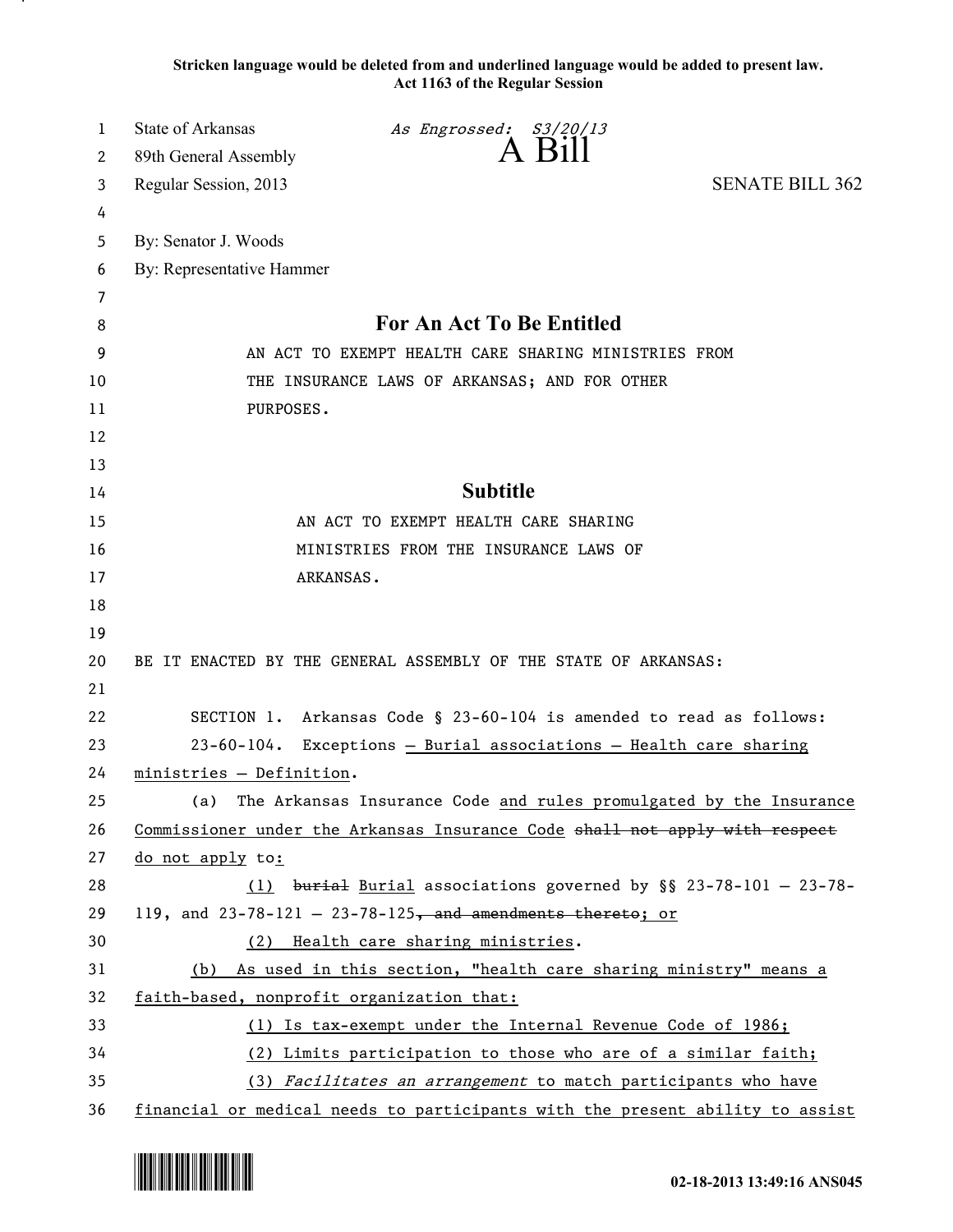**Stricken language would be deleted from and underlined language would be added to present law. Act 1163 of the Regular Session**

| 1  | <b>State of Arkansas</b>                                      | As Engrossed: S3/20/13                                                        |                        |
|----|---------------------------------------------------------------|-------------------------------------------------------------------------------|------------------------|
| 2  | 89th General Assembly                                         | $A$ Bill                                                                      |                        |
| 3  | Regular Session, 2013                                         |                                                                               | <b>SENATE BILL 362</b> |
| 4  |                                                               |                                                                               |                        |
| 5  | By: Senator J. Woods                                          |                                                                               |                        |
| 6  | By: Representative Hammer                                     |                                                                               |                        |
| 7  |                                                               |                                                                               |                        |
| 8  |                                                               | For An Act To Be Entitled                                                     |                        |
| 9  | AN ACT TO EXEMPT HEALTH CARE SHARING MINISTRIES FROM          |                                                                               |                        |
| 10 | THE INSURANCE LAWS OF ARKANSAS; AND FOR OTHER                 |                                                                               |                        |
| 11 | PURPOSES.                                                     |                                                                               |                        |
| 12 |                                                               |                                                                               |                        |
| 13 |                                                               |                                                                               |                        |
| 14 |                                                               | <b>Subtitle</b>                                                               |                        |
| 15 |                                                               | AN ACT TO EXEMPT HEALTH CARE SHARING                                          |                        |
| 16 |                                                               | MINISTRIES FROM THE INSURANCE LAWS OF                                         |                        |
| 17 | ARKANSAS.                                                     |                                                                               |                        |
| 18 |                                                               |                                                                               |                        |
| 19 |                                                               |                                                                               |                        |
| 20 |                                                               | BE IT ENACTED BY THE GENERAL ASSEMBLY OF THE STATE OF ARKANSAS:               |                        |
| 21 |                                                               |                                                                               |                        |
| 22 |                                                               | SECTION 1. Arkansas Code § 23-60-104 is amended to read as follows:           |                        |
| 23 |                                                               | 23-60-104. Exceptions - Burial associations - Health care sharing             |                        |
| 24 | ministries - Definition.                                      |                                                                               |                        |
| 25 | (a)                                                           | The Arkansas Insurance Code and rules promulgated by the Insurance            |                        |
| 26 |                                                               | Commissioner under the Arkansas Insurance Code shall not apply with respect   |                        |
| 27 | do not apply to:                                              |                                                                               |                        |
| 28 |                                                               | $(1)$ burial Burial associations governed by §§ 23-78-101 - 23-78-            |                        |
| 29 |                                                               | 119, and $23-78-121 - 23-78-125$ , and amendments thereto; or                 |                        |
| 30 |                                                               | (2) Health care sharing ministries.                                           |                        |
| 31 |                                                               | (b) As used in this section, "health care sharing ministry" means a           |                        |
| 32 | faith-based, nonprofit organization that:                     |                                                                               |                        |
| 33 | (1) Is tax-exempt under the Internal Revenue Code of 1986;    |                                                                               |                        |
| 34 |                                                               | (2) Limits participation to those who are of a similar faith;                 |                        |
| 35 | (3) Facilitates an arrangement to match participants who have |                                                                               |                        |
| 36 |                                                               | financial or medical needs to participants with the present ability to assist |                        |

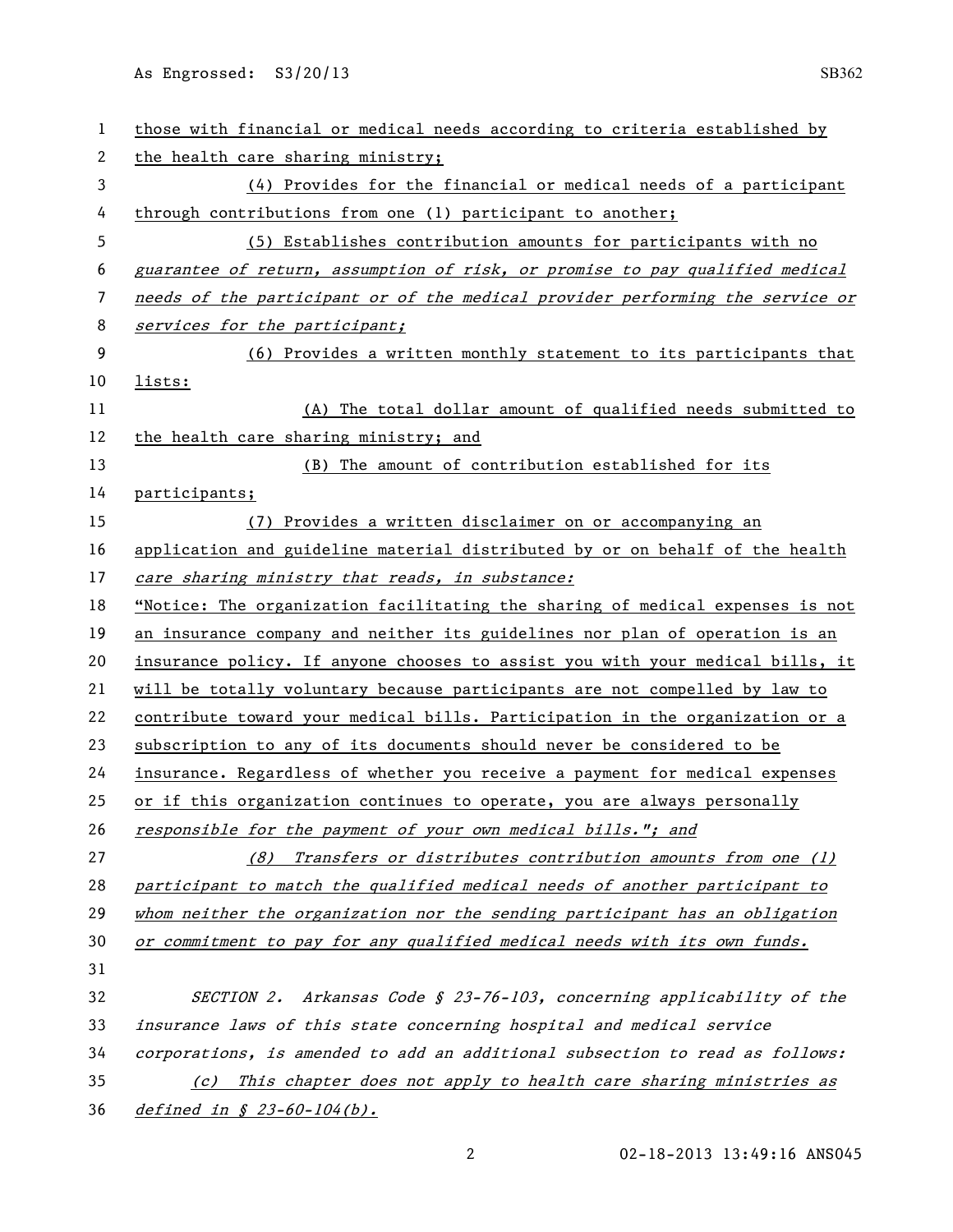As Engrossed: S3/20/13 SB362

| $\mathbf{1}$ | those with financial or medical needs according to criteria established by    |  |  |
|--------------|-------------------------------------------------------------------------------|--|--|
| 2            | the health care sharing ministry;                                             |  |  |
| 3            | $(4)$ Provides for the financial or medical needs of a participant            |  |  |
| 4            | through contributions from one (1) participant to another;                    |  |  |
| 5            | (5) Establishes contribution amounts for participants with no                 |  |  |
| 6            | guarantee of return, assumption of risk, or promise to pay qualified medical  |  |  |
| 7            | needs of the participant or of the medical provider performing the service or |  |  |
| 8            | services for the participant;                                                 |  |  |
| 9            | (6) Provides a written monthly statement to its participants that             |  |  |
| 10           | lists:                                                                        |  |  |
| 11           | (A) The total dollar amount of qualified needs submitted to                   |  |  |
| 12           | the health care sharing ministry; and                                         |  |  |
| 13           | (B) The amount of contribution established for its                            |  |  |
| 14           | participants;                                                                 |  |  |
| 15           | (7) Provides a written disclaimer on or accompanying an                       |  |  |
| 16           | application and guideline material distributed by or on behalf of the health  |  |  |
| 17           | care sharing ministry that reads, in substance:                               |  |  |
| 18           | "Notice: The organization facilitating the sharing of medical expenses is not |  |  |
| 19           | an insurance company and neither its guidelines nor plan of operation is an   |  |  |
| 20           | insurance policy. If anyone chooses to assist you with your medical bills, it |  |  |
| 21           | will be totally voluntary because participants are not compelled by law to    |  |  |
| 22           | contribute toward your medical bills. Participation in the organization or a  |  |  |
| 23           | subscription to any of its documents should never be considered to be         |  |  |
| 24           | insurance. Regardless of whether you receive a payment for medical expenses   |  |  |
| 25           | or if this organization continues to operate, you are always personally       |  |  |
| 26           | responsible for the payment of your own medical bills."; and                  |  |  |
| 27           | Transfers or distributes contribution amounts from one (1)<br>(8)             |  |  |
| 28           | participant to match the qualified medical needs of another participant to    |  |  |
| 29           | whom neither the organization nor the sending participant has an obligation   |  |  |
| 30           | or commitment to pay for any qualified medical needs with its own funds.      |  |  |
| 31           |                                                                               |  |  |
| 32           | SECTION 2. Arkansas Code § 23-76-103, concerning applicability of the         |  |  |
| 33           | insurance laws of this state concerning hospital and medical service          |  |  |
| 34           | corporations, is amended to add an additional subsection to read as follows:  |  |  |
| 35           | (c) This chapter does not apply to health care sharing ministries as          |  |  |
| 36           | defined in § 23-60-104(b).                                                    |  |  |